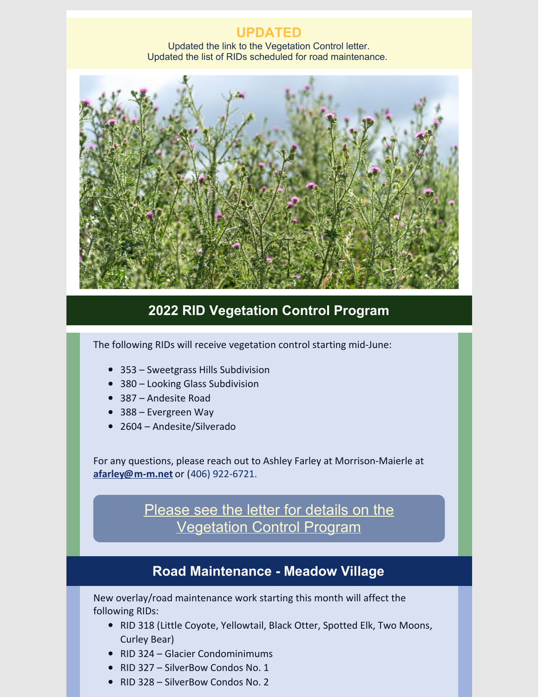## **UPDATED**

Updated the link to the Vegetation Control letter. Updated the list of RIDs scheduled for road maintenance.



## **2022 RID Vegetation Control Program**

The following RIDs will receive vegetation control starting mid-June:

- 353 Sweetgrass Hills Subdivision
- 380 Looking Glass Subdivision
- 387 Andesite Road
- 388 Evergreen Way
- 2604 Andesite/Silverado

For any questions, please reach out to Ashley Farley at Morrison-Maierle at **[afarley@m-m.net](mailto:afarley@m-m.net)** or [\(](tel:4069226721)406) [922-6721.](tel:4069226721)

> Please see the letter for details on the [Vegetation](https://files.constantcontact.com/0ef36c0b401/fb980c7c-9adc-4e32-9e33-07381b853acb.pdf?rdr=true) Control Program

## **Road Maintenance - Meadow Village**

New overlay/road maintenance work starting this month will affect the following RIDs:

- RID 318 (Little Coyote, Yellowtail, Black Otter, Spotted Elk, Two Moons, Curley Bear)
- RID 324 Glacier Condominimums
- RID 327 SilverBow Condos No. 1
- RID 328 SilverBow Condos No. 2